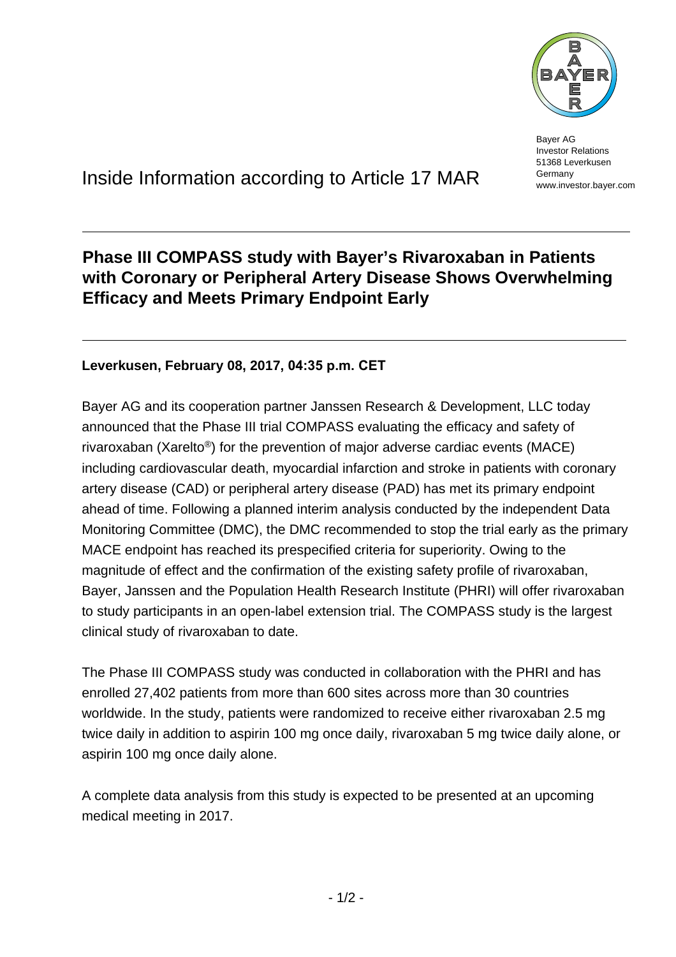

Bayer AG Investor Relations 51368 Leverkusen Germany www.investor.bayer.com

# Inside Information according to Article 17 MAR

## **Phase III COMPASS study with Bayer's Rivaroxaban in Patients with Coronary or Peripheral Artery Disease Shows Overwhelming Efficacy and Meets Primary Endpoint Early**

### **Leverkusen, February 08, 2017, 04:35 p.m. CET**

Bayer AG and its cooperation partner Janssen Research & Development, LLC today announced that the Phase III trial COMPASS evaluating the efficacy and safety of rivaroxaban (Xarelto®) for the prevention of major adverse cardiac events (MACE) including cardiovascular death, myocardial infarction and stroke in patients with coronary artery disease (CAD) or peripheral artery disease (PAD) has met its primary endpoint ahead of time. Following a planned interim analysis conducted by the independent Data Monitoring Committee (DMC), the DMC recommended to stop the trial early as the primary MACE endpoint has reached its prespecified criteria for superiority. Owing to the magnitude of effect and the confirmation of the existing safety profile of rivaroxaban, Bayer, Janssen and the Population Health Research Institute (PHRI) will offer rivaroxaban to study participants in an open-label extension trial. The COMPASS study is the largest clinical study of rivaroxaban to date.

The Phase III COMPASS study was conducted in collaboration with the PHRI and has enrolled 27,402 patients from more than 600 sites across more than 30 countries worldwide. In the study, patients were randomized to receive either rivaroxaban 2.5 mg twice daily in addition to aspirin 100 mg once daily, rivaroxaban 5 mg twice daily alone, or aspirin 100 mg once daily alone.

A complete data analysis from this study is expected to be presented at an upcoming medical meeting in 2017.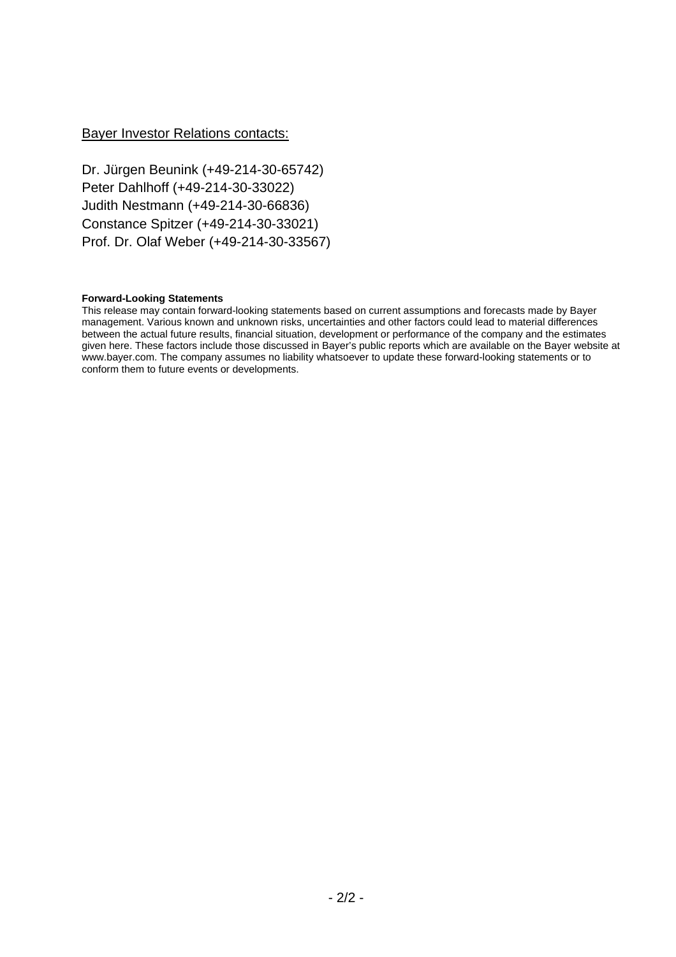### Bayer Investor Relations contacts:

Dr. Jürgen Beunink (+49-214-30-65742) Peter Dahlhoff (+49-214-30-33022) Judith Nestmann (+49-214-30-66836) Constance Spitzer (+49-214-30-33021) Prof. Dr. Olaf Weber (+49-214-30-33567)

#### **Forward-Looking Statements**

This release may contain forward-looking statements based on current assumptions and forecasts made by Bayer management. Various known and unknown risks, uncertainties and other factors could lead to material differences between the actual future results, financial situation, development or performance of the company and the estimates given here. These factors include those discussed in Bayer's public reports which are available on the Bayer website at www.bayer.com. The company assumes no liability whatsoever to update these forward-looking statements or to conform them to future events or developments.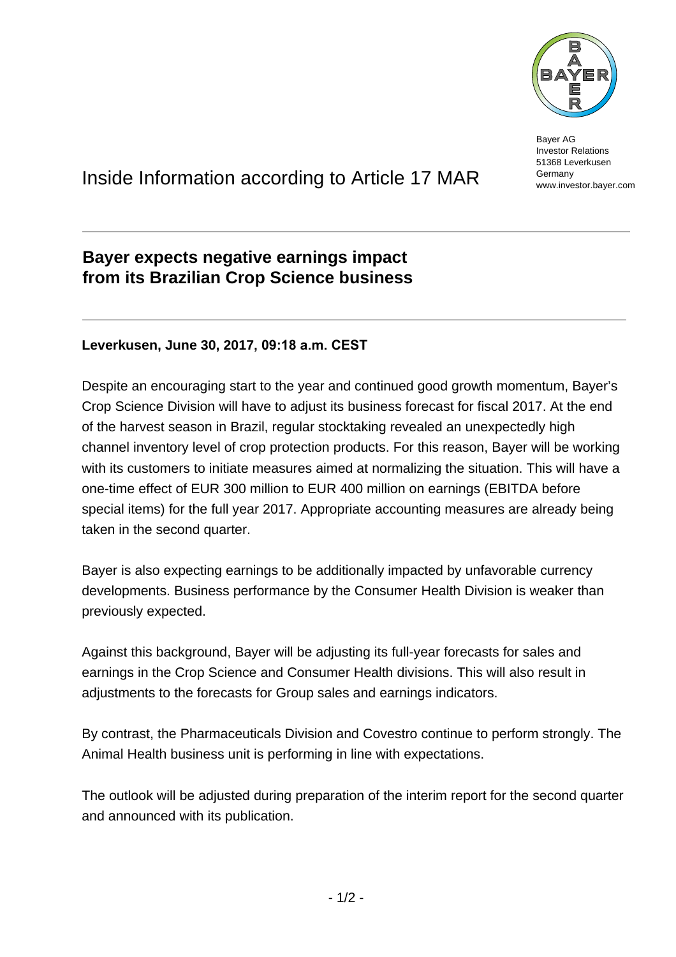

Bayer AG Investor Relations 51368 Leverkusen Germany www.investor.bayer.com

# Inside Information according to Article 17 MAR

## **Bayer expects negative earnings impact from its Brazilian Crop Science business**

### **Leverkusen, June 30, 2017, 09:18 a.m. CEST**

Despite an encouraging start to the year and continued good growth momentum, Bayer's Crop Science Division will have to adjust its business forecast for fiscal 2017. At the end of the harvest season in Brazil, regular stocktaking revealed an unexpectedly high channel inventory level of crop protection products. For this reason, Bayer will be working with its customers to initiate measures aimed at normalizing the situation. This will have a one-time effect of EUR 300 million to EUR 400 million on earnings (EBITDA before special items) for the full year 2017. Appropriate accounting measures are already being taken in the second quarter.

Bayer is also expecting earnings to be additionally impacted by unfavorable currency developments. Business performance by the Consumer Health Division is weaker than previously expected.

Against this background, Bayer will be adjusting its full-year forecasts for sales and earnings in the Crop Science and Consumer Health divisions. This will also result in adjustments to the forecasts for Group sales and earnings indicators.

By contrast, the Pharmaceuticals Division and Covestro continue to perform strongly. The Animal Health business unit is performing in line with expectations.

The outlook will be adjusted during preparation of the interim report for the second quarter and announced with its publication.